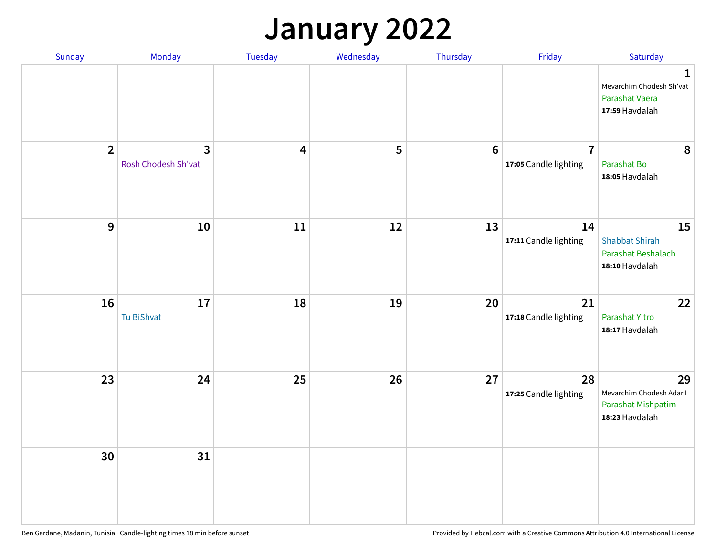## **January 2022**

| Sunday         | Monday                   | Tuesday                 | Wednesday | Thursday        | Friday                                  | Saturday                                                                     |
|----------------|--------------------------|-------------------------|-----------|-----------------|-----------------------------------------|------------------------------------------------------------------------------|
|                |                          |                         |           |                 |                                         | $\mathbf{1}$<br>Mevarchim Chodesh Sh'vat<br>Parashat Vaera<br>17:59 Havdalah |
| $\overline{2}$ | 3<br>Rosh Chodesh Sh'vat | $\overline{\mathbf{4}}$ | 5         | $6\phantom{1}6$ | $\overline{7}$<br>17:05 Candle lighting | 8<br>Parashat Bo<br>18:05 Havdalah                                           |
| $\mathbf{9}$   | 10                       | ${\bf 11}$              | 12        | 13              | 14<br>17:11 Candle lighting             | 15<br><b>Shabbat Shirah</b><br>Parashat Beshalach<br>18:10 Havdalah          |
| 16             | 17<br>Tu BiShvat         | 18                      | 19        | 20              | 21<br>17:18 Candle lighting             | 22<br>Parashat Yitro<br>18:17 Havdalah                                       |
| 23             | 24                       | 25                      | 26        | 27              | 28<br>17:25 Candle lighting             | 29<br>Mevarchim Chodesh Adar I<br>Parashat Mishpatim<br>18:23 Havdalah       |
| 30             | 31                       |                         |           |                 |                                         |                                                                              |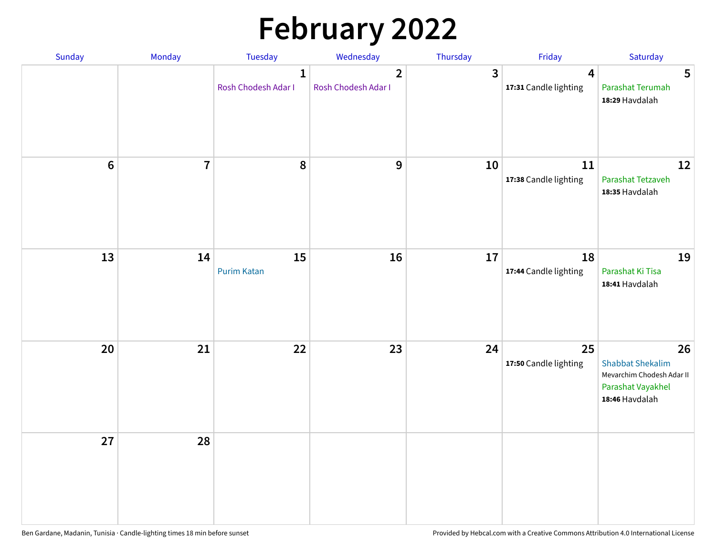# **February 2022**

| Sunday           | Monday         | Tuesday                             | Wednesday                             | Thursday | Friday                                           | Saturday                                                                                          |
|------------------|----------------|-------------------------------------|---------------------------------------|----------|--------------------------------------------------|---------------------------------------------------------------------------------------------------|
|                  |                | $\mathbf{1}$<br>Rosh Chodesh Adar I | $\overline{2}$<br>Rosh Chodesh Adar I | 3        | $\overline{\mathbf{4}}$<br>17:31 Candle lighting | $5\phantom{1}$<br>Parashat Terumah<br>18:29 Havdalah                                              |
| $\boldsymbol{6}$ | $\overline{7}$ | 8                                   | $\boldsymbol{9}$                      | 10       | 11<br>17:38 Candle lighting                      | 12<br>Parashat Tetzaveh<br>18:35 Havdalah                                                         |
| 13               | 14             | 15<br><b>Purim Katan</b>            | 16                                    | 17       | 18<br>17:44 Candle lighting                      | 19<br>Parashat Ki Tisa<br>18:41 Havdalah                                                          |
| 20               | 21             | 22                                  | 23                                    | 24       | 25<br>17:50 Candle lighting                      | 26<br><b>Shabbat Shekalim</b><br>Mevarchim Chodesh Adar II<br>Parashat Vayakhel<br>18:46 Havdalah |
| 27               | 28             |                                     |                                       |          |                                                  |                                                                                                   |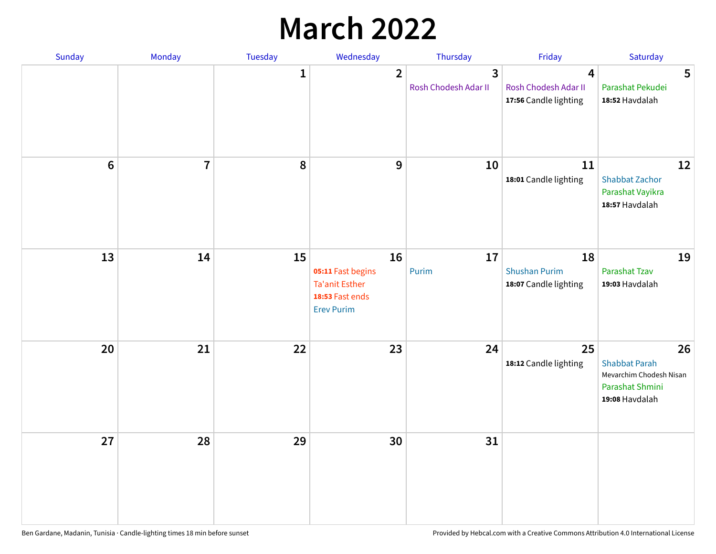## **March 2022**

| Sunday           | Monday         | <b>Tuesday</b> | Wednesday                                                                                | Thursday                  | Friday                                                                   | Saturday                                                                                   |
|------------------|----------------|----------------|------------------------------------------------------------------------------------------|---------------------------|--------------------------------------------------------------------------|--------------------------------------------------------------------------------------------|
|                  |                | $\mathbf{1}$   | $\overline{2}$                                                                           | 3<br>Rosh Chodesh Adar II | $\overline{\mathbf{4}}$<br>Rosh Chodesh Adar II<br>17:56 Candle lighting | 5<br>Parashat Pekudei<br>18:52 Havdalah                                                    |
| $\boldsymbol{6}$ | $\overline{1}$ | 8              | $\boldsymbol{9}$                                                                         | 10                        | 11<br>18:01 Candle lighting                                              | 12<br>Shabbat Zachor<br>Parashat Vayikra<br>18:57 Havdalah                                 |
| 13               | 14             | 15             | 16<br>05:11 Fast begins<br><b>Ta'anit Esther</b><br>18:53 Fast ends<br><b>Erev Purim</b> | 17<br>Purim               | 18<br><b>Shushan Purim</b><br>18:07 Candle lighting                      | 19<br>Parashat Tzav<br>19:03 Havdalah                                                      |
| 20               | 21             | 22             | 23                                                                                       | 24                        | 25<br>18:12 Candle lighting                                              | 26<br><b>Shabbat Parah</b><br>Mevarchim Chodesh Nisan<br>Parashat Shmini<br>19:08 Havdalah |
| 27               | 28             | 29             | 30                                                                                       | 31                        |                                                                          |                                                                                            |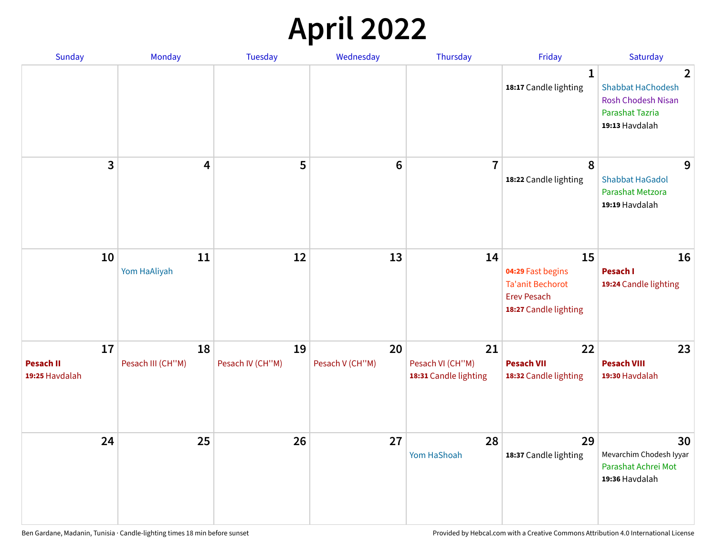## **April 2022**

| Sunday                                   | <b>Monday</b>           | <b>Tuesday</b>         | Wednesday             | Thursday                                        | Friday                                                                                            | Saturday                                                                                                     |
|------------------------------------------|-------------------------|------------------------|-----------------------|-------------------------------------------------|---------------------------------------------------------------------------------------------------|--------------------------------------------------------------------------------------------------------------|
|                                          |                         |                        |                       |                                                 | $\mathbf{1}$<br>18:17 Candle lighting                                                             | $\overline{2}$<br><b>Shabbat HaChodesh</b><br>Rosh Chodesh Nisan<br><b>Parashat Tazria</b><br>19:13 Havdalah |
| 3                                        | 4                       | 5                      | $\bf 6$               | $\overline{7}$                                  | 8<br>18:22 Candle lighting                                                                        | 9<br><b>Shabbat HaGadol</b><br>Parashat Metzora<br>19:19 Havdalah                                            |
| 10                                       | 11<br>Yom HaAliyah      | 12                     | 13                    | 14                                              | 15<br>04:29 Fast begins<br><b>Ta'anit Bechorot</b><br><b>Erev Pesach</b><br>18:27 Candle lighting | 16<br>Pesach I<br>19:24 Candle lighting                                                                      |
| 17<br><b>Pesach II</b><br>19:25 Havdalah | 18<br>Pesach III (CH"M) | 19<br>Pesach IV (CH"M) | 20<br>Pesach V (CH"M) | 21<br>Pesach VI (CH"M)<br>18:31 Candle lighting | 22<br><b>Pesach VII</b><br>18:32 Candle lighting                                                  | 23<br><b>Pesach VIII</b><br>19:30 Havdalah                                                                   |
| 24                                       | 25                      | 26                     | 27                    | 28<br>Yom HaShoah                               | 29<br>18:37 Candle lighting                                                                       | 30<br>Mevarchim Chodesh Iyyar<br>Parashat Achrei Mot<br>19:36 Havdalah                                       |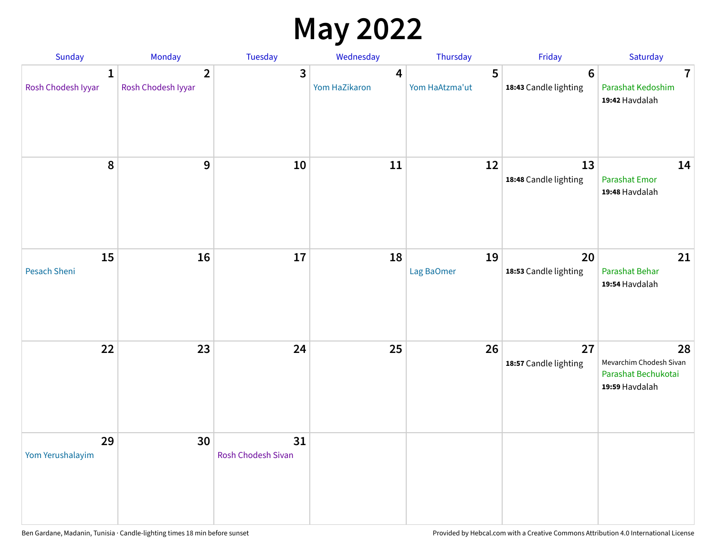## **May 2022**

| Sunday                  | Monday                               | Tuesday                         | Wednesday          | Thursday            | Friday                                  | Saturday                                                               |
|-------------------------|--------------------------------------|---------------------------------|--------------------|---------------------|-----------------------------------------|------------------------------------------------------------------------|
| 1<br>Rosh Chodesh Iyyar | $\overline{2}$<br>Rosh Chodesh Iyyar | 3                               | 4<br>Yom HaZikaron | 5<br>Yom HaAtzma'ut | $6\phantom{1}$<br>18:43 Candle lighting | $\overline{7}$<br>Parashat Kedoshim<br>19:42 Havdalah                  |
| $\pmb{8}$               | $\mathbf{9}$                         | 10                              | 11                 | 12                  | 13<br>18:48 Candle lighting             | 14<br><b>Parashat Emor</b><br>19:48 Havdalah                           |
| 15<br>Pesach Sheni      | 16                                   | 17                              | 18                 | 19<br>Lag BaOmer    | 20<br>18:53 Candle lighting             | 21<br>Parashat Behar<br>19:54 Havdalah                                 |
| 22                      | 23                                   | 24                              | 25                 | 26                  | 27<br>18:57 Candle lighting             | 28<br>Mevarchim Chodesh Sivan<br>Parashat Bechukotai<br>19:59 Havdalah |
| 29<br>Yom Yerushalayim  | 30                                   | 31<br><b>Rosh Chodesh Sivan</b> |                    |                     |                                         |                                                                        |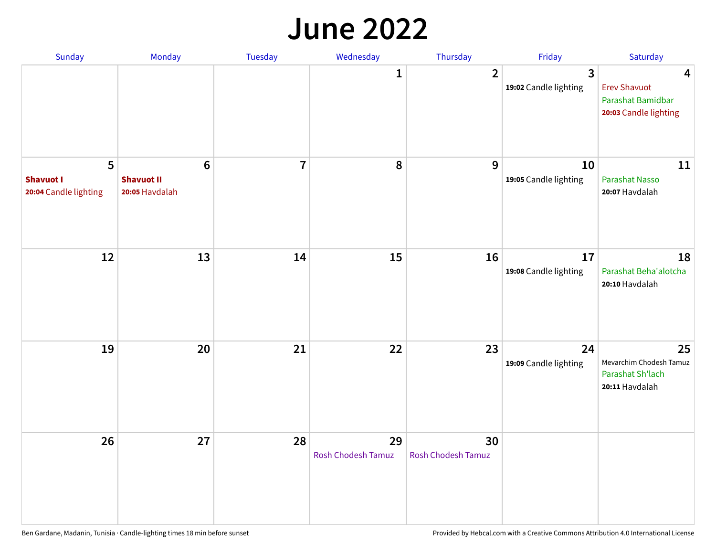#### **June 2022**

| Sunday                                         | Monday                                                 | Tuesday        | Wednesday                       | Thursday                        | Friday                      | Saturday                                                               |
|------------------------------------------------|--------------------------------------------------------|----------------|---------------------------------|---------------------------------|-----------------------------|------------------------------------------------------------------------|
|                                                |                                                        |                | 1                               | $\overline{2}$                  | 3<br>19:02 Candle lighting  | 4<br><b>Erev Shavuot</b><br>Parashat Bamidbar<br>20:03 Candle lighting |
| 5<br><b>Shavuot I</b><br>20:04 Candle lighting | $6\phantom{1}6$<br><b>Shavuot II</b><br>20:05 Havdalah | $\overline{7}$ | 8                               | 9                               | 10<br>19:05 Candle lighting | 11<br><b>Parashat Nasso</b><br>20:07 Havdalah                          |
| 12                                             | 13                                                     | 14             | 15                              | 16                              | 17<br>19:08 Candle lighting | 18<br>Parashat Beha'alotcha<br>20:10 Havdalah                          |
| 19                                             | 20                                                     | 21             | 22                              | 23                              | 24<br>19:09 Candle lighting | 25<br>Mevarchim Chodesh Tamuz<br>Parashat Sh'lach<br>20:11 Havdalah    |
| 26                                             | 27                                                     | 28             | 29<br><b>Rosh Chodesh Tamuz</b> | 30<br><b>Rosh Chodesh Tamuz</b> |                             |                                                                        |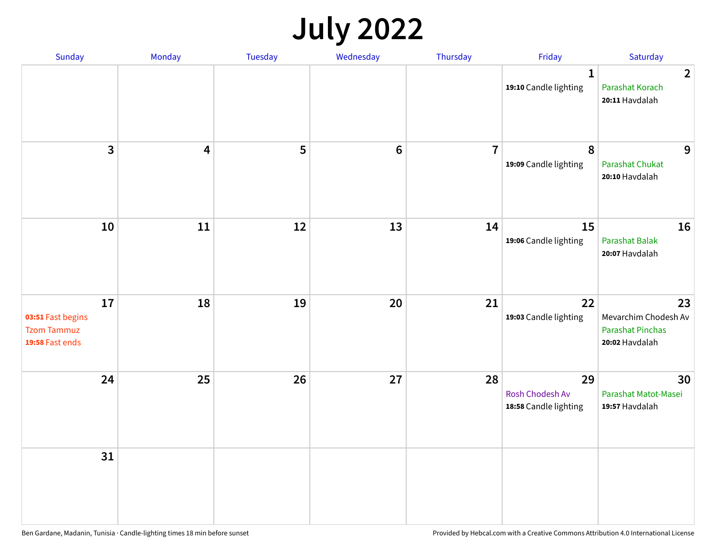## **July 2022**

| Sunday                                                           | Monday                  | Tuesday | Wednesday | Thursday       | Friday                                         | Saturday                                                                |
|------------------------------------------------------------------|-------------------------|---------|-----------|----------------|------------------------------------------------|-------------------------------------------------------------------------|
|                                                                  |                         |         |           |                | $\mathbf{1}$<br>19:10 Candle lighting          | $\overline{2}$<br>Parashat Korach<br>20:11 Havdalah                     |
| $\overline{\mathbf{3}}$                                          | $\overline{\mathbf{4}}$ | 5       | $\bf 6$   | $\overline{7}$ | 8<br>19:09 Candle lighting                     | 9<br>Parashat Chukat<br>20:10 Havdalah                                  |
| 10                                                               | 11                      | 12      | 13        | 14             | 15<br>19:06 Candle lighting                    | 16<br>Parashat Balak<br>20:07 Havdalah                                  |
| 17<br>03:51 Fast begins<br><b>Tzom Tammuz</b><br>19:58 Fast ends | 18                      | 19      | 20        | 21             | 22<br>19:03 Candle lighting                    | 23<br>Mevarchim Chodesh Av<br><b>Parashat Pinchas</b><br>20:02 Havdalah |
| 24                                                               | 25                      | 26      | 27        | 28             | 29<br>Rosh Chodesh Av<br>18:58 Candle lighting | 30<br>Parashat Matot-Masei<br>19:57 Havdalah                            |
| 31                                                               |                         |         |           |                |                                                |                                                                         |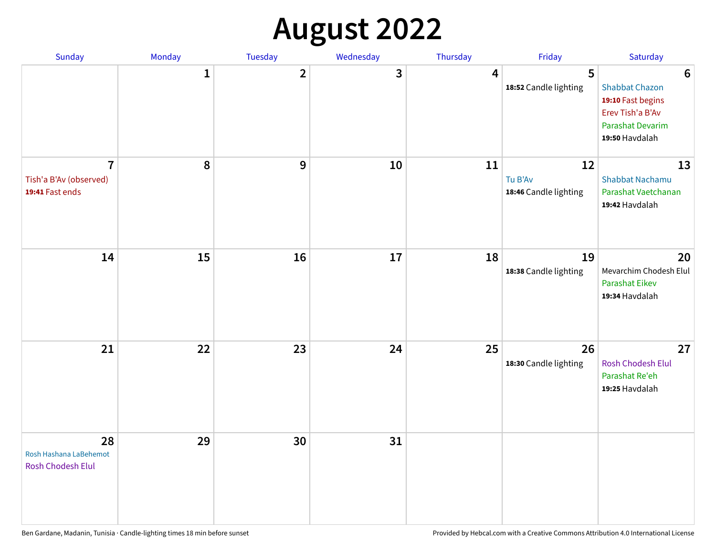## **August 2022**

| Sunday                                                      | Monday       | Tuesday                 | Wednesday | Thursday | Friday                                 | Saturday                                                                                                                       |
|-------------------------------------------------------------|--------------|-------------------------|-----------|----------|----------------------------------------|--------------------------------------------------------------------------------------------------------------------------------|
|                                                             | $\mathbf{1}$ | $\overline{\mathbf{2}}$ | 3         | 4        | 5<br>18:52 Candle lighting             | $6\phantom{1}6$<br><b>Shabbat Chazon</b><br>19:10 Fast begins<br>Erev Tish'a B'Av<br><b>Parashat Devarim</b><br>19:50 Havdalah |
| $\overline{7}$<br>Tish'a B'Av (observed)<br>19:41 Fast ends | 8            | 9                       | 10        | 11       | 12<br>Tu B'Av<br>18:46 Candle lighting | 13<br><b>Shabbat Nachamu</b><br>Parashat Vaetchanan<br>19:42 Havdalah                                                          |
| 14                                                          | 15           | 16                      | 17        | 18       | 19<br>18:38 Candle lighting            | 20<br>Mevarchim Chodesh Elul<br>Parashat Eikev<br>19:34 Havdalah                                                               |
| 21                                                          | 22           | 23                      | 24        | 25       | 26<br>18:30 Candle lighting            | 27<br>Rosh Chodesh Elul<br>Parashat Re'eh<br>19:25 Havdalah                                                                    |
| 28<br>Rosh Hashana LaBehemot<br>Rosh Chodesh Elul           | 29           | 30                      | 31        |          |                                        |                                                                                                                                |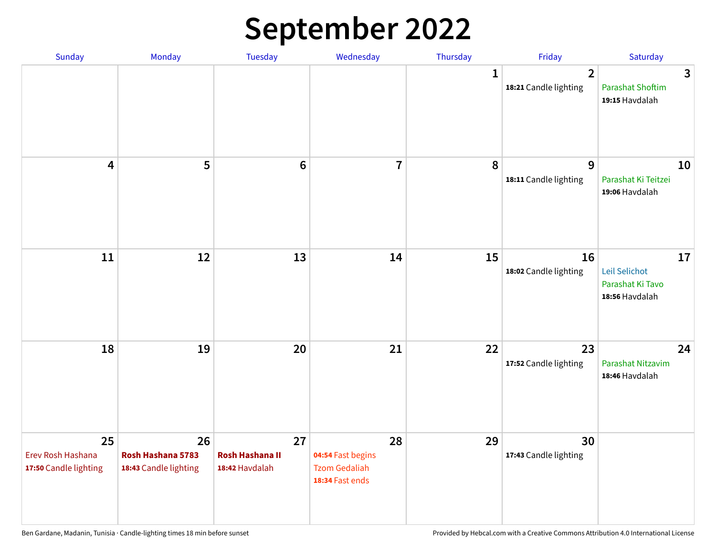## **September 2022**

| Sunday                                           | Monday                                           | <b>Tuesday</b>                                 | Wednesday                                                          | Thursday    | Friday                                  | Saturday                                                  |
|--------------------------------------------------|--------------------------------------------------|------------------------------------------------|--------------------------------------------------------------------|-------------|-----------------------------------------|-----------------------------------------------------------|
|                                                  |                                                  |                                                |                                                                    | $\mathbf 1$ | $\overline{2}$<br>18:21 Candle lighting | 3<br><b>Parashat Shoftim</b><br>19:15 Havdalah            |
| $\overline{\mathbf{4}}$                          | 5                                                | $6\phantom{1}6$                                | $\overline{7}$                                                     | 8           | 9<br>18:11 Candle lighting              | 10<br>Parashat Ki Teitzei<br>19:06 Havdalah               |
| 11                                               | 12                                               | 13                                             | 14                                                                 | 15          | 16<br>18:02 Candle lighting             | 17<br>Leil Selichot<br>Parashat Ki Tavo<br>18:56 Havdalah |
| 18                                               | 19                                               | 20                                             | 21                                                                 | 22          | 23<br>17:52 Candle lighting             | 24<br>Parashat Nitzavim<br>18:46 Havdalah                 |
| 25<br>Erev Rosh Hashana<br>17:50 Candle lighting | 26<br>Rosh Hashana 5783<br>18:43 Candle lighting | 27<br><b>Rosh Hashana II</b><br>18:42 Havdalah | 28<br>04:54 Fast begins<br><b>Tzom Gedaliah</b><br>18:34 Fast ends | 29          | 30<br>17:43 Candle lighting             |                                                           |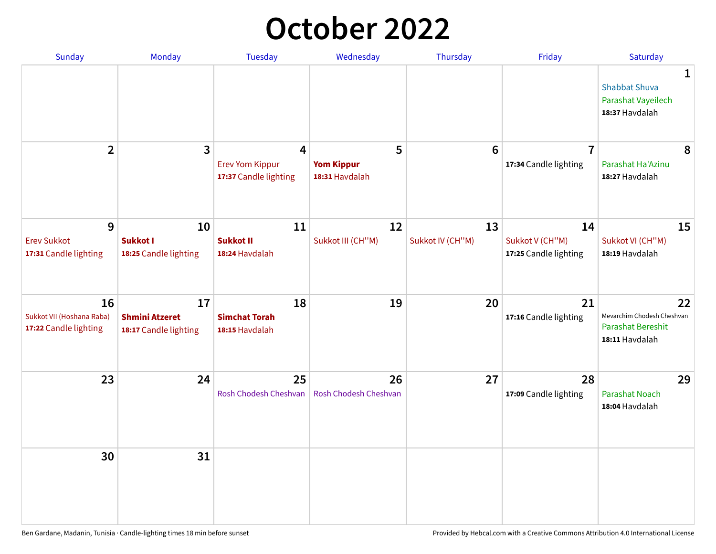## **October 2022**

| Sunday                                                   | Monday                                               | <b>Tuesday</b>                                                    | Wednesday                                | Thursday               | Friday                                         | Saturday                                                                       |
|----------------------------------------------------------|------------------------------------------------------|-------------------------------------------------------------------|------------------------------------------|------------------------|------------------------------------------------|--------------------------------------------------------------------------------|
|                                                          |                                                      |                                                                   |                                          |                        |                                                | 1<br><b>Shabbat Shuva</b><br>Parashat Vayeilech<br>18:37 Havdalah              |
| $\overline{2}$                                           | $\overline{\mathbf{3}}$                              | $\overline{4}$<br><b>Erev Yom Kippur</b><br>17:37 Candle lighting | 5<br><b>Yom Kippur</b><br>18:31 Havdalah | 6                      | $\overline{7}$<br>17:34 Candle lighting        | 8<br>Parashat Ha'Azinu<br>18:27 Havdalah                                       |
| 9<br><b>Erev Sukkot</b><br>17:31 Candle lighting         | 10<br><b>Sukkot I</b><br>18:25 Candle lighting       | 11<br><b>Sukkot II</b><br>18:24 Havdalah                          | 12<br>Sukkot III (CH"M)                  | 13<br>Sukkot IV (CH"M) | 14<br>Sukkot V (CH"M)<br>17:25 Candle lighting | 15<br>Sukkot VI (CH"M)<br>18:19 Havdalah                                       |
| 16<br>Sukkot VII (Hoshana Raba)<br>17:22 Candle lighting | 17<br><b>Shmini Atzeret</b><br>18:17 Candle lighting | 18<br><b>Simchat Torah</b><br>18:15 Havdalah                      | 19                                       | 20                     | 21<br>17:16 Candle lighting                    | 22<br>Mevarchim Chodesh Cheshvan<br><b>Parashat Bereshit</b><br>18:11 Havdalah |
| 23                                                       | 24                                                   | 25<br>Rosh Chodesh Cheshvan                                       | 26<br>Rosh Chodesh Cheshvan              | 27                     | 28<br>17:09 Candle lighting                    | 29<br><b>Parashat Noach</b><br>18:04 Havdalah                                  |
| 30                                                       | 31                                                   |                                                                   |                                          |                        |                                                |                                                                                |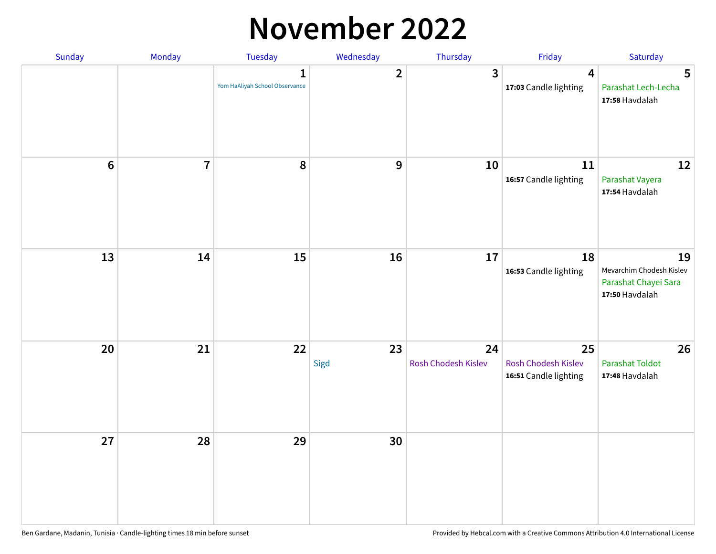### **November 2022**

| Sunday         | Monday                  | <b>Tuesday</b>                                 | Wednesday               | Thursday                  | Friday                                             | Saturday                                                                 |
|----------------|-------------------------|------------------------------------------------|-------------------------|---------------------------|----------------------------------------------------|--------------------------------------------------------------------------|
|                |                         | $\mathbf{1}$<br>Yom HaAliyah School Observance | $\overline{\mathbf{2}}$ | $\mathbf{3}$              | $\boldsymbol{4}$<br>17:03 Candle lighting          | 5<br>Parashat Lech-Lecha<br>17:58 Havdalah                               |
| $6\phantom{a}$ | $\overline{\mathbf{7}}$ | 8                                              | $\boldsymbol{9}$        | 10                        | 11<br>16:57 Candle lighting                        | 12<br>Parashat Vayera<br>17:54 Havdalah                                  |
| 13             | 14                      | 15                                             | 16                      | 17                        | 18<br>16:53 Candle lighting                        | 19<br>Mevarchim Chodesh Kislev<br>Parashat Chayei Sara<br>17:50 Havdalah |
| 20             | 21                      | 22                                             | 23<br>Sigd              | 24<br>Rosh Chodesh Kislev | 25<br>Rosh Chodesh Kislev<br>16:51 Candle lighting | 26<br><b>Parashat Toldot</b><br>17:48 Havdalah                           |
| 27             | 28                      | 29                                             | 30                      |                           |                                                    |                                                                          |